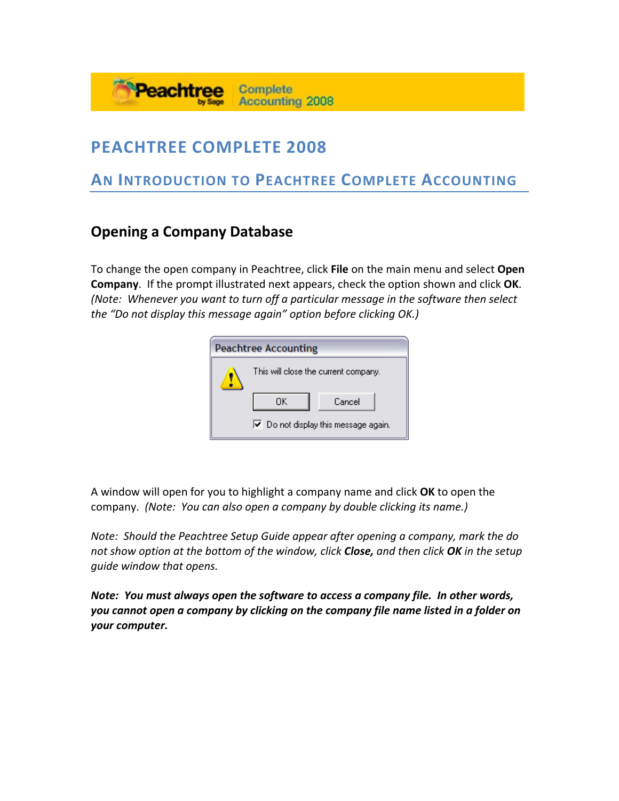# **PEACHTREE COMPLETE 2008**

Peachtree

# **AN INTRODUCTION TO PEACHTREE COMPLETE ACCOUNTING**

**Complete** 

**Accounting 2008** 

## **Opening a Company Database**

To change the open company in Peachtree, click **File** on the main menu and select **Open Company**. If the prompt illustrated next appears, check the option shown and click **OK**. *(Note: Whenever you want to turn off a particular message in the software then select the "Do not display this message again" option before clicking OK.)* 

| <b>Peachtree Accounting</b>                         |              |  |  |  |  |  |  |
|-----------------------------------------------------|--------------|--|--|--|--|--|--|
| This will close the current company.                |              |  |  |  |  |  |  |
|                                                     | OΚ<br>Cancel |  |  |  |  |  |  |
| $\triangleright$ Do not display this message again. |              |  |  |  |  |  |  |

A window will open for you to highlight a company name and click **OK** to open the company. *(Note: You can also open a company by double clicking its name.)*

*Note: Should the Peachtree Setup Guide appear after opening a company, mark the do not show option at the bottom of the window, click Close, and then click OK in the setup guide window that opens.*

*Note: You must always open the software to access a company file. In other words, you cannot open a company by clicking on the company file name listed in a folder on your computer.*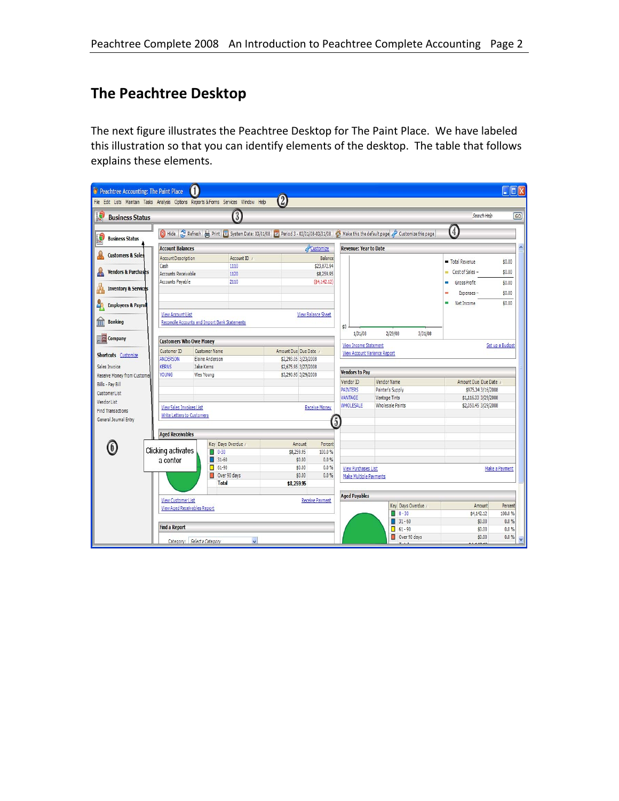# **The Peachtree Desktop**

The next figure illustrates the Peachtree Desktop for The Paint Place. We have labeled this illustration so that you can identify elements of the desktop. The table that follows explains these elements.

| $\boldsymbol{2}$<br>File Edit Lists Maintain Tasks Analysis Options Reports & Forms Services Window Help<br>$\boxed{3}$<br>$\frac{1}{2}$<br>Search Help<br>$\overline{G}$<br><b>Business Status</b><br>$\left( 4\right)$<br>Customize this page (1984) 4 Make this the default page (2) Hide (2) Period 3-03/01/08-03/31/08 (2) Make this the default page (2) Customize this page<br>I.<br><b>Business Status</b><br>$\boldsymbol{\wedge}$<br>Customize<br><b>Account Balances</b><br><b>Revenue: Year to Date</b><br><b>Customers &amp; Sales</b><br>Account ID /<br><b>Account Description</b><br><b>Balance</b><br>Total Revenue<br>\$0.00<br>\$23,872.94<br>Cash<br>1110<br>Cost of Sales -<br><b>Vendors &amp; Purchases</b><br>\$0.00<br><b>Accounts Receivable</b><br>\$8,259.95<br>1120<br>Accounts Payable<br>2110<br>(54, 142.12)<br>Gross Profit<br>\$0.00<br>a,<br><b>Inventory &amp; Services</b><br>\$0.00<br>Expenses-<br>Net Income<br>\$0.00<br>ш<br>$\frac{1}{2}$<br><b>Employees &amp; Payrol</b><br><b>View Account List</b><br><b>View Balance Sheet</b><br>m<br><b>Banking</b><br>Reconcile Accounts and Import Bank Statements<br>\$0<br>1/31/08<br>2/29/08<br>3/31/08<br><b>ER</b> Company<br><b>Customers Who Owe Money</b><br>View Income Statement<br>Set up a Budget<br><b>Customer Name</b><br>Customer ID<br>Amount Due Due Date /<br><b>View Account Variance Report</b><br><b>Shortcuts</b> Customize<br>Elaine Anderson<br>ANDERSON<br>\$2,293.05 3/23/2008<br>Sales Invoice<br><b>KERNS</b><br>Jake Kerns<br>\$2,675.95 3/27/2008<br><b>Vendors to Pay</b><br>YOUNG<br>\$3,290.95 3/29/2008<br>Wes Young<br>Receive Money from Customer<br><b>Vendor Name</b><br>Amount Due Due Date<br>Vendor ID<br>Bills - Pay Bill<br><b>PAINTERS</b><br>Painter's Supply<br>\$975.34 3/16/2008<br><b>CustomerList</b><br>VANTAGE<br>Vantage Tints<br>\$1,116.33 3/29/2008<br>Vendor List<br><b>WHOLESALE</b><br><b>Wholesale Paints</b><br>\$2,050.45 3/29/2008<br><b>View Sales Invoices List</b><br><b>Receive Money</b><br><b>Find Transactions</b><br>Write Letters to Customers<br>General Journal Entry<br>$\boxed{5}$<br><b>Aged Receivables</b> |
|--------------------------------------------------------------------------------------------------------------------------------------------------------------------------------------------------------------------------------------------------------------------------------------------------------------------------------------------------------------------------------------------------------------------------------------------------------------------------------------------------------------------------------------------------------------------------------------------------------------------------------------------------------------------------------------------------------------------------------------------------------------------------------------------------------------------------------------------------------------------------------------------------------------------------------------------------------------------------------------------------------------------------------------------------------------------------------------------------------------------------------------------------------------------------------------------------------------------------------------------------------------------------------------------------------------------------------------------------------------------------------------------------------------------------------------------------------------------------------------------------------------------------------------------------------------------------------------------------------------------------------------------------------------------------------------------------------------------------------------------------------------------------------------------------------------------------------------------------------------------------------------------------------------------------------------------------------------------------------------------------------------------------------------------------------------------------------------------------------------------------------------------------------------------------------|
|                                                                                                                                                                                                                                                                                                                                                                                                                                                                                                                                                                                                                                                                                                                                                                                                                                                                                                                                                                                                                                                                                                                                                                                                                                                                                                                                                                                                                                                                                                                                                                                                                                                                                                                                                                                                                                                                                                                                                                                                                                                                                                                                                                                |
|                                                                                                                                                                                                                                                                                                                                                                                                                                                                                                                                                                                                                                                                                                                                                                                                                                                                                                                                                                                                                                                                                                                                                                                                                                                                                                                                                                                                                                                                                                                                                                                                                                                                                                                                                                                                                                                                                                                                                                                                                                                                                                                                                                                |
|                                                                                                                                                                                                                                                                                                                                                                                                                                                                                                                                                                                                                                                                                                                                                                                                                                                                                                                                                                                                                                                                                                                                                                                                                                                                                                                                                                                                                                                                                                                                                                                                                                                                                                                                                                                                                                                                                                                                                                                                                                                                                                                                                                                |
|                                                                                                                                                                                                                                                                                                                                                                                                                                                                                                                                                                                                                                                                                                                                                                                                                                                                                                                                                                                                                                                                                                                                                                                                                                                                                                                                                                                                                                                                                                                                                                                                                                                                                                                                                                                                                                                                                                                                                                                                                                                                                                                                                                                |
|                                                                                                                                                                                                                                                                                                                                                                                                                                                                                                                                                                                                                                                                                                                                                                                                                                                                                                                                                                                                                                                                                                                                                                                                                                                                                                                                                                                                                                                                                                                                                                                                                                                                                                                                                                                                                                                                                                                                                                                                                                                                                                                                                                                |
|                                                                                                                                                                                                                                                                                                                                                                                                                                                                                                                                                                                                                                                                                                                                                                                                                                                                                                                                                                                                                                                                                                                                                                                                                                                                                                                                                                                                                                                                                                                                                                                                                                                                                                                                                                                                                                                                                                                                                                                                                                                                                                                                                                                |
|                                                                                                                                                                                                                                                                                                                                                                                                                                                                                                                                                                                                                                                                                                                                                                                                                                                                                                                                                                                                                                                                                                                                                                                                                                                                                                                                                                                                                                                                                                                                                                                                                                                                                                                                                                                                                                                                                                                                                                                                                                                                                                                                                                                |
|                                                                                                                                                                                                                                                                                                                                                                                                                                                                                                                                                                                                                                                                                                                                                                                                                                                                                                                                                                                                                                                                                                                                                                                                                                                                                                                                                                                                                                                                                                                                                                                                                                                                                                                                                                                                                                                                                                                                                                                                                                                                                                                                                                                |
|                                                                                                                                                                                                                                                                                                                                                                                                                                                                                                                                                                                                                                                                                                                                                                                                                                                                                                                                                                                                                                                                                                                                                                                                                                                                                                                                                                                                                                                                                                                                                                                                                                                                                                                                                                                                                                                                                                                                                                                                                                                                                                                                                                                |
|                                                                                                                                                                                                                                                                                                                                                                                                                                                                                                                                                                                                                                                                                                                                                                                                                                                                                                                                                                                                                                                                                                                                                                                                                                                                                                                                                                                                                                                                                                                                                                                                                                                                                                                                                                                                                                                                                                                                                                                                                                                                                                                                                                                |
|                                                                                                                                                                                                                                                                                                                                                                                                                                                                                                                                                                                                                                                                                                                                                                                                                                                                                                                                                                                                                                                                                                                                                                                                                                                                                                                                                                                                                                                                                                                                                                                                                                                                                                                                                                                                                                                                                                                                                                                                                                                                                                                                                                                |
|                                                                                                                                                                                                                                                                                                                                                                                                                                                                                                                                                                                                                                                                                                                                                                                                                                                                                                                                                                                                                                                                                                                                                                                                                                                                                                                                                                                                                                                                                                                                                                                                                                                                                                                                                                                                                                                                                                                                                                                                                                                                                                                                                                                |
|                                                                                                                                                                                                                                                                                                                                                                                                                                                                                                                                                                                                                                                                                                                                                                                                                                                                                                                                                                                                                                                                                                                                                                                                                                                                                                                                                                                                                                                                                                                                                                                                                                                                                                                                                                                                                                                                                                                                                                                                                                                                                                                                                                                |
|                                                                                                                                                                                                                                                                                                                                                                                                                                                                                                                                                                                                                                                                                                                                                                                                                                                                                                                                                                                                                                                                                                                                                                                                                                                                                                                                                                                                                                                                                                                                                                                                                                                                                                                                                                                                                                                                                                                                                                                                                                                                                                                                                                                |
|                                                                                                                                                                                                                                                                                                                                                                                                                                                                                                                                                                                                                                                                                                                                                                                                                                                                                                                                                                                                                                                                                                                                                                                                                                                                                                                                                                                                                                                                                                                                                                                                                                                                                                                                                                                                                                                                                                                                                                                                                                                                                                                                                                                |
|                                                                                                                                                                                                                                                                                                                                                                                                                                                                                                                                                                                                                                                                                                                                                                                                                                                                                                                                                                                                                                                                                                                                                                                                                                                                                                                                                                                                                                                                                                                                                                                                                                                                                                                                                                                                                                                                                                                                                                                                                                                                                                                                                                                |
|                                                                                                                                                                                                                                                                                                                                                                                                                                                                                                                                                                                                                                                                                                                                                                                                                                                                                                                                                                                                                                                                                                                                                                                                                                                                                                                                                                                                                                                                                                                                                                                                                                                                                                                                                                                                                                                                                                                                                                                                                                                                                                                                                                                |
|                                                                                                                                                                                                                                                                                                                                                                                                                                                                                                                                                                                                                                                                                                                                                                                                                                                                                                                                                                                                                                                                                                                                                                                                                                                                                                                                                                                                                                                                                                                                                                                                                                                                                                                                                                                                                                                                                                                                                                                                                                                                                                                                                                                |
|                                                                                                                                                                                                                                                                                                                                                                                                                                                                                                                                                                                                                                                                                                                                                                                                                                                                                                                                                                                                                                                                                                                                                                                                                                                                                                                                                                                                                                                                                                                                                                                                                                                                                                                                                                                                                                                                                                                                                                                                                                                                                                                                                                                |
|                                                                                                                                                                                                                                                                                                                                                                                                                                                                                                                                                                                                                                                                                                                                                                                                                                                                                                                                                                                                                                                                                                                                                                                                                                                                                                                                                                                                                                                                                                                                                                                                                                                                                                                                                                                                                                                                                                                                                                                                                                                                                                                                                                                |
| Key Days Overdue<br>Amount<br>Percent<br>6)                                                                                                                                                                                                                                                                                                                                                                                                                                                                                                                                                                                                                                                                                                                                                                                                                                                                                                                                                                                                                                                                                                                                                                                                                                                                                                                                                                                                                                                                                                                                                                                                                                                                                                                                                                                                                                                                                                                                                                                                                                                                                                                                    |
| Clicking activates<br>$0 - 30$<br>100.0%<br>n.<br>\$8,259.95                                                                                                                                                                                                                                                                                                                                                                                                                                                                                                                                                                                                                                                                                                                                                                                                                                                                                                                                                                                                                                                                                                                                                                                                                                                                                                                                                                                                                                                                                                                                                                                                                                                                                                                                                                                                                                                                                                                                                                                                                                                                                                                   |
| a center<br>$31-60$<br>0.0%<br>\$0.00                                                                                                                                                                                                                                                                                                                                                                                                                                                                                                                                                                                                                                                                                                                                                                                                                                                                                                                                                                                                                                                                                                                                                                                                                                                                                                                                                                                                                                                                                                                                                                                                                                                                                                                                                                                                                                                                                                                                                                                                                                                                                                                                          |
| Π<br>$61 - 90$<br>\$0.00<br>0.0%<br><b>View Purchases List</b><br>Make a Payment<br>Over 90 days<br>\$0.00<br>0.0%                                                                                                                                                                                                                                                                                                                                                                                                                                                                                                                                                                                                                                                                                                                                                                                                                                                                                                                                                                                                                                                                                                                                                                                                                                                                                                                                                                                                                                                                                                                                                                                                                                                                                                                                                                                                                                                                                                                                                                                                                                                             |
| <b>Make Multiple Payments</b><br>Total<br>\$8,259.95                                                                                                                                                                                                                                                                                                                                                                                                                                                                                                                                                                                                                                                                                                                                                                                                                                                                                                                                                                                                                                                                                                                                                                                                                                                                                                                                                                                                                                                                                                                                                                                                                                                                                                                                                                                                                                                                                                                                                                                                                                                                                                                           |
|                                                                                                                                                                                                                                                                                                                                                                                                                                                                                                                                                                                                                                                                                                                                                                                                                                                                                                                                                                                                                                                                                                                                                                                                                                                                                                                                                                                                                                                                                                                                                                                                                                                                                                                                                                                                                                                                                                                                                                                                                                                                                                                                                                                |
| <b>Aged Payables</b><br><b>View Customer List</b><br><b>Receive Payment</b>                                                                                                                                                                                                                                                                                                                                                                                                                                                                                                                                                                                                                                                                                                                                                                                                                                                                                                                                                                                                                                                                                                                                                                                                                                                                                                                                                                                                                                                                                                                                                                                                                                                                                                                                                                                                                                                                                                                                                                                                                                                                                                    |
| Key Days Overdue /<br>Amount<br>Percent<br>View Aged Receivables Report<br>$0 - 30$<br>\$4,142.12<br>100.0%                                                                                                                                                                                                                                                                                                                                                                                                                                                                                                                                                                                                                                                                                                                                                                                                                                                                                                                                                                                                                                                                                                                                                                                                                                                                                                                                                                                                                                                                                                                                                                                                                                                                                                                                                                                                                                                                                                                                                                                                                                                                    |
| $31 - 60$<br>\$0.00<br>$0.0\%$                                                                                                                                                                                                                                                                                                                                                                                                                                                                                                                                                                                                                                                                                                                                                                                                                                                                                                                                                                                                                                                                                                                                                                                                                                                                                                                                                                                                                                                                                                                                                                                                                                                                                                                                                                                                                                                                                                                                                                                                                                                                                                                                                 |
| <b>Find a Report</b><br>$161 - 90$<br>\$0.00<br>$0.0\%$                                                                                                                                                                                                                                                                                                                                                                                                                                                                                                                                                                                                                                                                                                                                                                                                                                                                                                                                                                                                                                                                                                                                                                                                                                                                                                                                                                                                                                                                                                                                                                                                                                                                                                                                                                                                                                                                                                                                                                                                                                                                                                                        |
| Over 90 days<br>\$0.00<br>$0.0\%$<br>v<br>Category: Select a Category<br>v<br>11.10.40                                                                                                                                                                                                                                                                                                                                                                                                                                                                                                                                                                                                                                                                                                                                                                                                                                                                                                                                                                                                                                                                                                                                                                                                                                                                                                                                                                                                                                                                                                                                                                                                                                                                                                                                                                                                                                                                                                                                                                                                                                                                                         |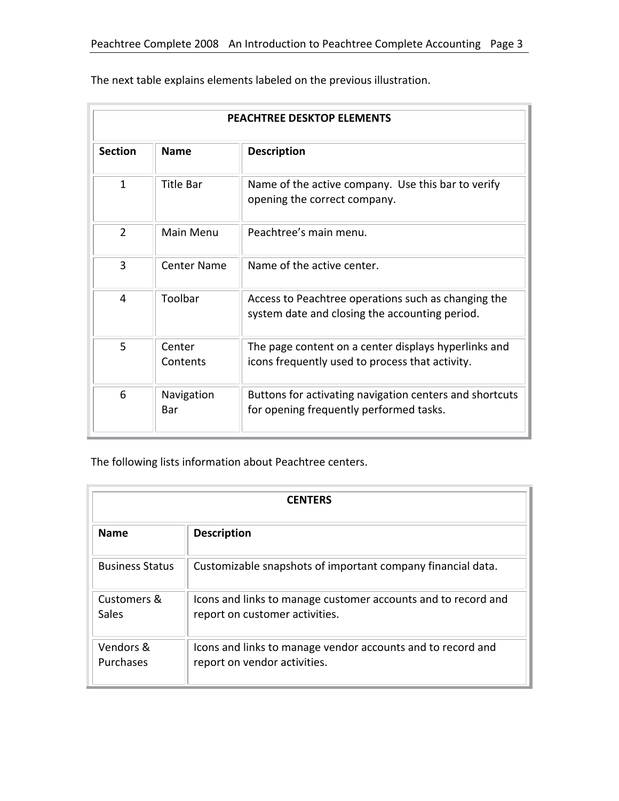| <b>PEACHTREE DESKTOP ELEMENTS</b>                   |                    |                                                                                                         |  |  |  |
|-----------------------------------------------------|--------------------|---------------------------------------------------------------------------------------------------------|--|--|--|
| <b>Section</b><br><b>Name</b><br><b>Description</b> |                    |                                                                                                         |  |  |  |
| $\mathbf{1}$                                        | <b>Title Bar</b>   | Name of the active company. Use this bar to verify<br>opening the correct company.                      |  |  |  |
| $\overline{2}$                                      | Main Menu          | Peachtree's main menu.                                                                                  |  |  |  |
| 3                                                   | Center Name        | Name of the active center.                                                                              |  |  |  |
| 4                                                   | Toolbar            | Access to Peachtree operations such as changing the<br>system date and closing the accounting period.   |  |  |  |
| 5                                                   | Center<br>Contents | The page content on a center displays hyperlinks and<br>icons frequently used to process that activity. |  |  |  |
| 6                                                   | Navigation<br>Bar  | Buttons for activating navigation centers and shortcuts<br>for opening frequently performed tasks.      |  |  |  |

The next table explains elements labeled on the previous illustration.

The following lists information about Peachtree centers.

| <b>CENTERS</b>         |                                                                                                 |  |  |  |
|------------------------|-------------------------------------------------------------------------------------------------|--|--|--|
| <b>Name</b>            | <b>Description</b>                                                                              |  |  |  |
| <b>Business Status</b> | Customizable snapshots of important company financial data.                                     |  |  |  |
| Customers &<br>Sales   | Icons and links to manage customer accounts and to record and<br>report on customer activities. |  |  |  |
| Vendors &<br>Purchases | Icons and links to manage vendor accounts and to record and<br>report on vendor activities.     |  |  |  |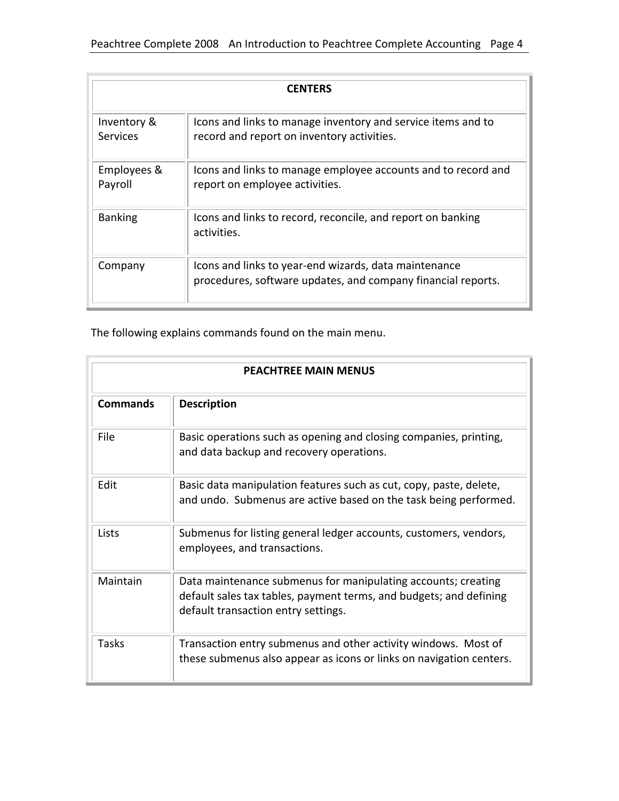| <b>CENTERS</b>          |                                                                                                                       |  |  |  |  |
|-------------------------|-----------------------------------------------------------------------------------------------------------------------|--|--|--|--|
| Inventory &<br>Services | Icons and links to manage inventory and service items and to<br>record and report on inventory activities.            |  |  |  |  |
| Employees &<br>Payroll  | Icons and links to manage employee accounts and to record and<br>report on employee activities.                       |  |  |  |  |
| <b>Banking</b>          | Icons and links to record, reconcile, and report on banking<br>activities.                                            |  |  |  |  |
| Company                 | Icons and links to year-end wizards, data maintenance<br>procedures, software updates, and company financial reports. |  |  |  |  |

The following explains commands found on the main menu.

| <b>PEACHTREE MAIN MENUS</b> |                                                                                                                                                                            |  |  |  |
|-----------------------------|----------------------------------------------------------------------------------------------------------------------------------------------------------------------------|--|--|--|
| <b>Commands</b>             | <b>Description</b>                                                                                                                                                         |  |  |  |
| File                        | Basic operations such as opening and closing companies, printing,<br>and data backup and recovery operations.                                                              |  |  |  |
| Edit                        | Basic data manipulation features such as cut, copy, paste, delete,<br>and undo. Submenus are active based on the task being performed.                                     |  |  |  |
| Lists                       | Submenus for listing general ledger accounts, customers, vendors,<br>employees, and transactions.                                                                          |  |  |  |
| Maintain                    | Data maintenance submenus for manipulating accounts; creating<br>default sales tax tables, payment terms, and budgets; and defining<br>default transaction entry settings. |  |  |  |
| Tasks                       | Transaction entry submenus and other activity windows. Most of<br>these submenus also appear as icons or links on navigation centers.                                      |  |  |  |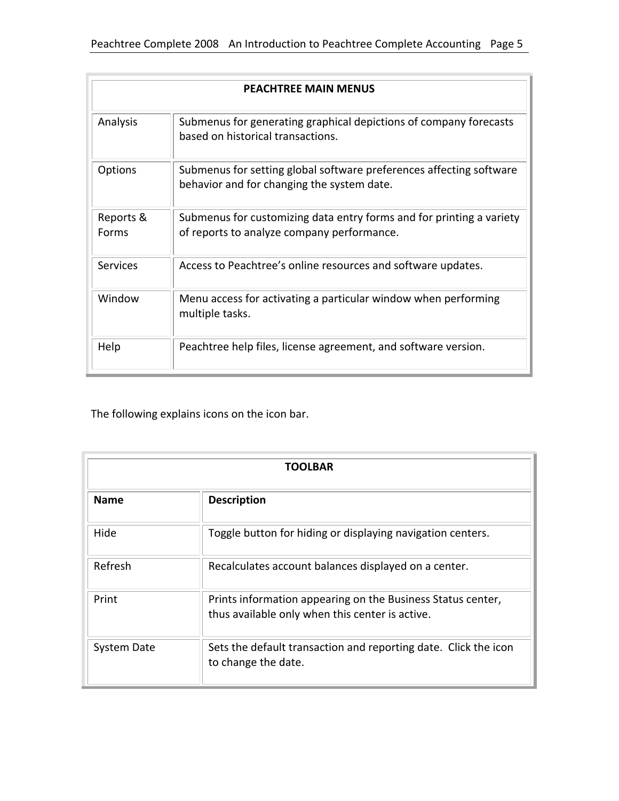| <b>PEACHTREE MAIN MENUS</b> |                                                                                                                    |  |  |  |  |
|-----------------------------|--------------------------------------------------------------------------------------------------------------------|--|--|--|--|
| Analysis                    | Submenus for generating graphical depictions of company forecasts<br>based on historical transactions.             |  |  |  |  |
| <b>Options</b>              | Submenus for setting global software preferences affecting software<br>behavior and for changing the system date.  |  |  |  |  |
| Reports &<br>Forms          | Submenus for customizing data entry forms and for printing a variety<br>of reports to analyze company performance. |  |  |  |  |
| <b>Services</b>             | Access to Peachtree's online resources and software updates.                                                       |  |  |  |  |
| Window                      | Menu access for activating a particular window when performing<br>multiple tasks.                                  |  |  |  |  |
| Help                        | Peachtree help files, license agreement, and software version.                                                     |  |  |  |  |

The following explains icons on the icon bar.

| <b>TOOLBAR</b> |                                                                                                                |  |  |  |  |
|----------------|----------------------------------------------------------------------------------------------------------------|--|--|--|--|
| <b>Name</b>    | <b>Description</b>                                                                                             |  |  |  |  |
| Hide           | Toggle button for hiding or displaying navigation centers.                                                     |  |  |  |  |
| Refresh        | Recalculates account balances displayed on a center.                                                           |  |  |  |  |
| Print          | Prints information appearing on the Business Status center,<br>thus available only when this center is active. |  |  |  |  |
| System Date    | Sets the default transaction and reporting date. Click the icon<br>to change the date.                         |  |  |  |  |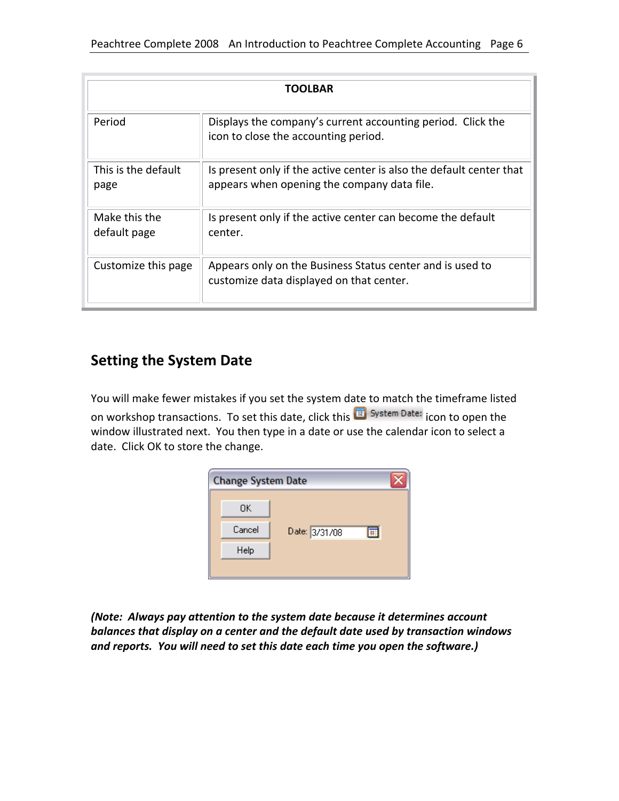| TOOLBAR                       |                                                                                                                     |  |  |  |  |
|-------------------------------|---------------------------------------------------------------------------------------------------------------------|--|--|--|--|
| Period                        | Displays the company's current accounting period. Click the<br>icon to close the accounting period.                 |  |  |  |  |
| This is the default<br>page   | Is present only if the active center is also the default center that<br>appears when opening the company data file. |  |  |  |  |
| Make this the<br>default page | Is present only if the active center can become the default<br>center.                                              |  |  |  |  |
| Customize this page           | Appears only on the Business Status center and is used to<br>customize data displayed on that center.               |  |  |  |  |

#### **Setting the System Date**

You will make fewer mistakes if you set the system date to match the timeframe listed on workshop transactions. To set this date, click this **if System Date:** icon to open the window illustrated next. You then type in a date or use the calendar icon to select a date. Click OK to store the change.

| <b>Change System Date</b> |        |               |  |  |  |
|---------------------------|--------|---------------|--|--|--|
|                           | OΚ     |               |  |  |  |
|                           | Cancel | Date: 3/31/08 |  |  |  |
|                           | Help   |               |  |  |  |
|                           |        |               |  |  |  |

*(Note: Always pay attention to the system date because it determines account balances that display on a center and the default date used by transaction windows and reports. You will need to set this date each time you open the software.)*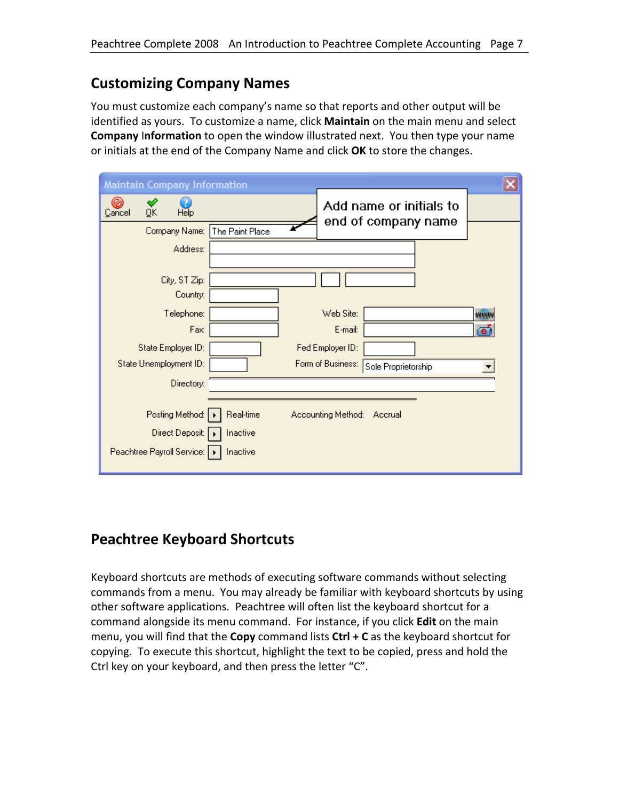## **Customizing Company Names**

You must customize each company's name so that reports and other output will be identified as yours. To customize a name, click **Maintain** on the main menu and select **Company** I**nformation** to open the window illustrated next. You then type your name or initials at the end of the Company Name and click **OK** to store the changes.

|        | <b>Maintain Company Information</b> |                 |                    |                                                |     |  |
|--------|-------------------------------------|-----------------|--------------------|------------------------------------------------|-----|--|
| Cancel | ŪK<br>Help                          |                 |                    | Add name or initials to<br>end of company name |     |  |
|        | Company Name:                       | The Paint Place |                    |                                                |     |  |
|        | Address:                            |                 |                    |                                                |     |  |
|        |                                     |                 |                    |                                                |     |  |
|        | City, ST Zip:                       |                 |                    |                                                |     |  |
|        | Country:                            |                 |                    |                                                |     |  |
|        | Telephone:                          |                 | Web Site:          |                                                | WWW |  |
|        | Fax:                                |                 | E-mail:            |                                                | ēĪ  |  |
|        | State Employer ID:                  |                 | Fed Employer ID:   |                                                |     |  |
|        | State Unemployment ID:              |                 | Form of Business:  | Sole Proprietorship                            |     |  |
|        | Directory:                          |                 |                    |                                                |     |  |
|        |                                     |                 |                    |                                                |     |  |
|        | Posting Method:                     | Real-time       | Accounting Method: | Accrual                                        |     |  |
|        | Direct Deposit:                     | Inactive        |                    |                                                |     |  |
|        | Peachtree Payroll Service:   ▶      | Inactive        |                    |                                                |     |  |

## **Peachtree Keyboard Shortcuts**

Keyboard shortcuts are methods of executing software commands without selecting commands from a menu. You may already be familiar with keyboard shortcuts by using other software applications. Peachtree will often list the keyboard shortcut for a command alongside its menu command. For instance, if you click **Edit** on the main menu, you will find that the **Copy** command lists **Ctrl + C** as the keyboard shortcut for copying. To execute this shortcut, highlight the text to be copied, press and hold the Ctrl key on your keyboard, and then press the letter "C".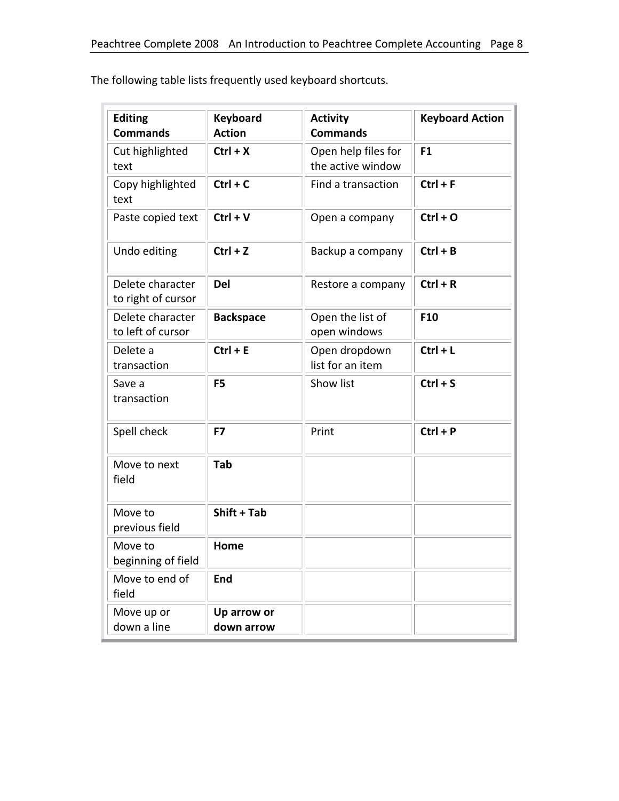| <b>Editing</b><br><b>Commands</b>      | <b>Keyboard</b><br><b>Action</b> | <b>Activity</b><br><b>Commands</b>       | <b>Keyboard Action</b> |
|----------------------------------------|----------------------------------|------------------------------------------|------------------------|
| Cut highlighted<br>text                | $Ctrl + X$                       | Open help files for<br>the active window | F <sub>1</sub>         |
| Copy highlighted<br>text               | $Ctrl + C$                       | Find a transaction                       | $Ctrl + F$             |
| Paste copied text                      | $Ctrl + V$                       | Open a company                           | $Ctrl + O$             |
| Undo editing                           | $Ctrl + Z$                       | Backup a company                         | $Ctrl + B$             |
| Delete character<br>to right of cursor | <b>Del</b>                       | Restore a company                        | $Ctrl + R$             |
| Delete character<br>to left of cursor  | <b>Backspace</b>                 | Open the list of<br>open windows         | F10                    |
| Delete a<br>transaction                | $Ctrl + E$                       | Open dropdown<br>list for an item        | $Ctrl + L$             |
| Save a<br>transaction                  | F <sub>5</sub>                   | Show list                                | $Ctrl + S$             |
| Spell check                            | F7                               | Print                                    | $Ctrl + P$             |
| Move to next<br>field                  | Tab                              |                                          |                        |
| Move to<br>previous field              | Shift + Tab                      |                                          |                        |
| Move to<br>beginning of field          | Home                             |                                          |                        |
| Move to end of<br>field                | <b>End</b>                       |                                          |                        |
| Move up or<br>down a line              | Up arrow or<br>down arrow        |                                          |                        |

The following table lists frequently used keyboard shortcuts.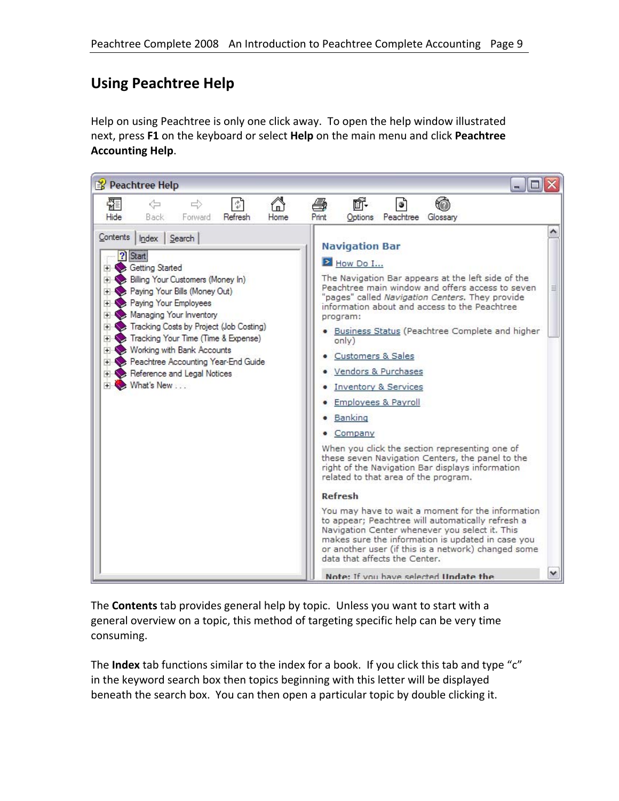## **Using Peachtree Help**

Help on using Peachtree is only one click away. To open the help window illustrated next, press **F1** on the keyboard or select **Help** on the main menu and click **Peachtree Accounting Help**.



The **Contents** tab provides general help by topic. Unless you want to start with a general overview on a topic, this method of targeting specific help can be very time consuming.

The **Index** tab functions similar to the index for a book. If you click this tab and type "c" in the keyword search box then topics beginning with this letter will be displayed beneath the search box. You can then open a particular topic by double clicking it.